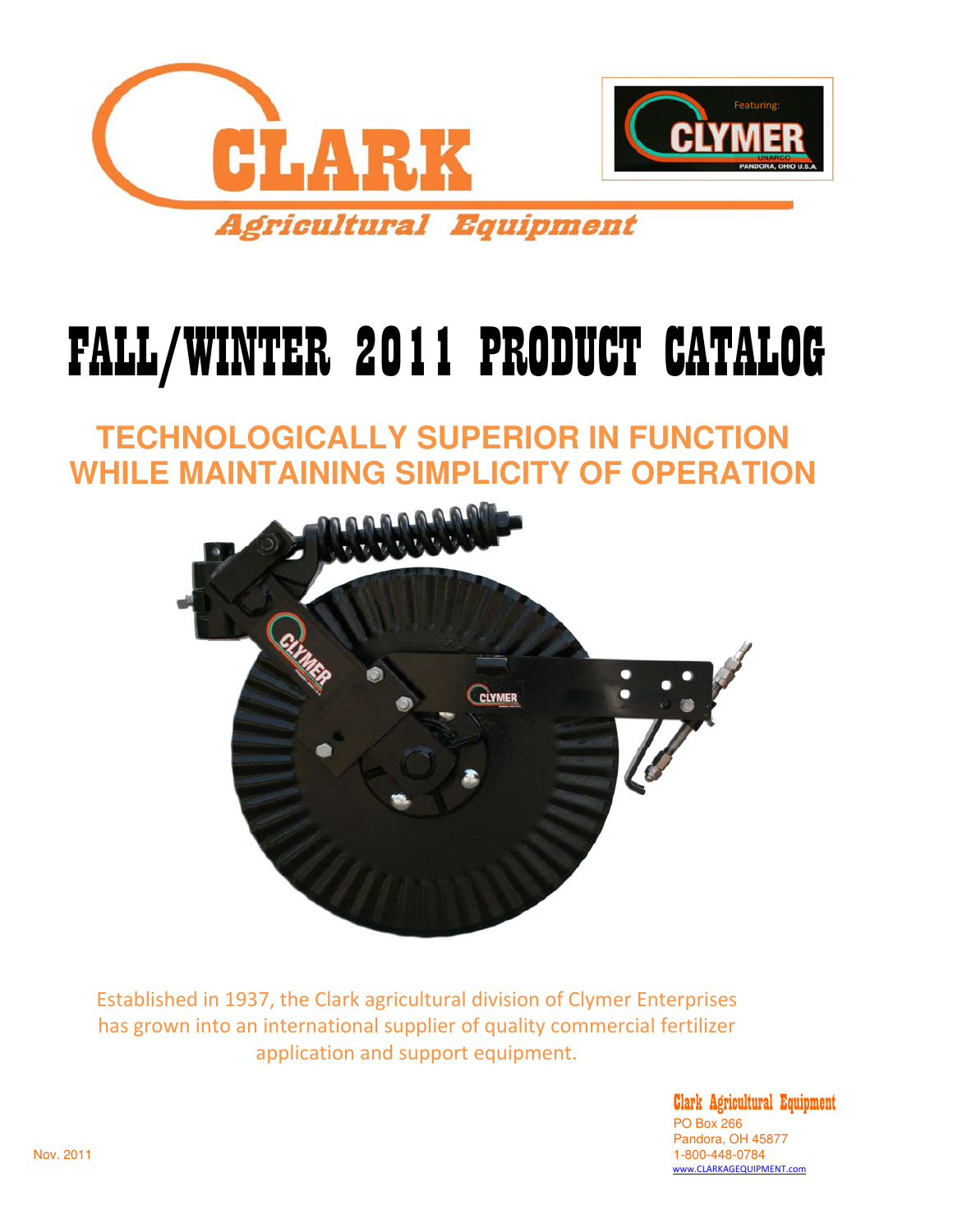

# FALL/WINTER 2011 PRODUCT CATALOG

## **TECHNOLOGICALLY SUPERIOR IN FUNCTION WHILE MAINTAINING SIMPLICITY OF OPERATION**



Established in 1937, the Clark agricultural division of Clymer Enterprises has grown into an international supplier of quality commercial fertilizer application and support equipment.

Clark Agricultural Equipment PO Box 266 Pandora, OH 45877<br>1-800-448-0784 Nov. 2011 1-800-448-0784 www.CLARKAGEQUIPMENT.com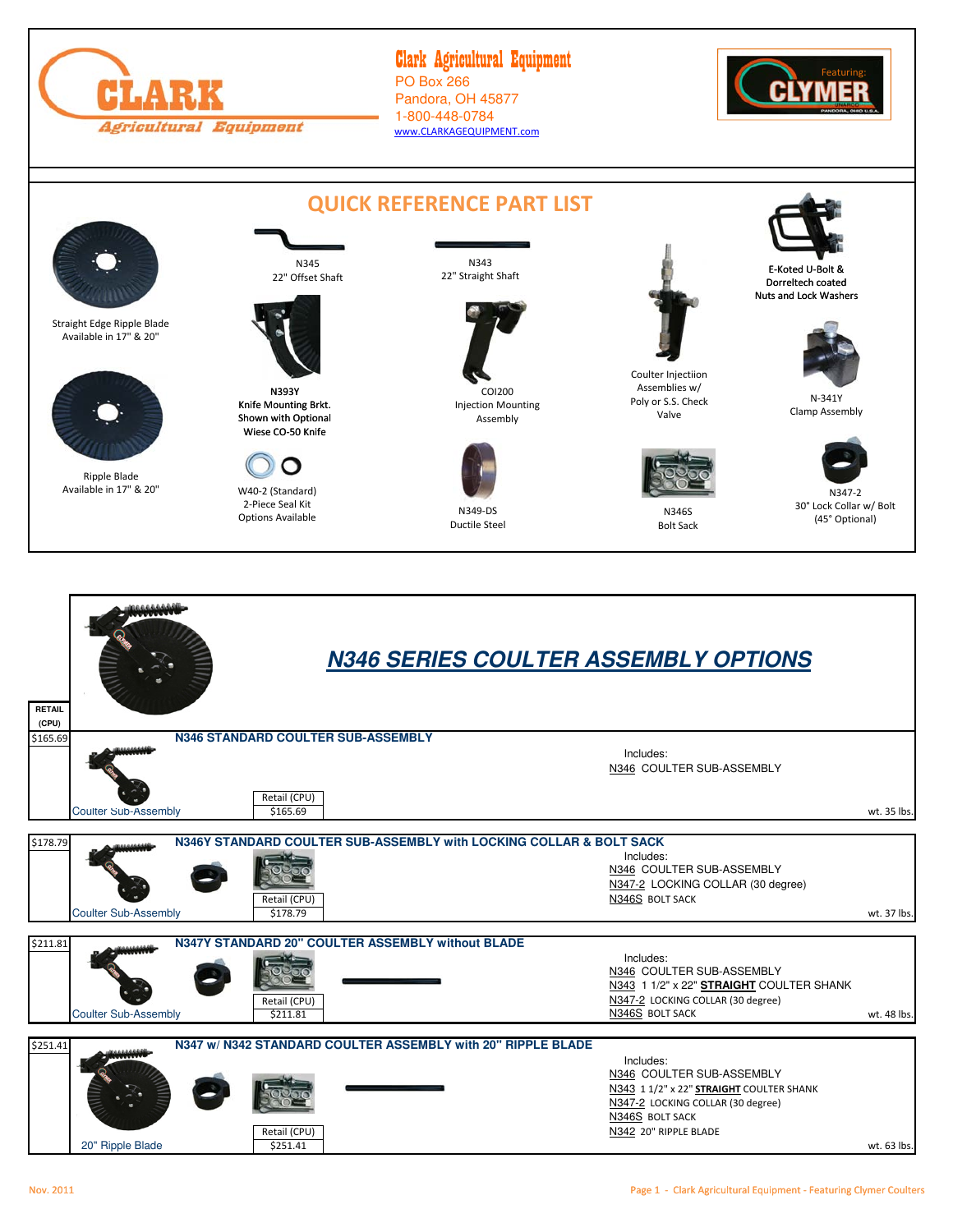

#### Clark Agricultural Equipment PO Box 266 Pandora, OH 45877 1-800-448-0784 www.CLARKAGEQUIPMENT.com



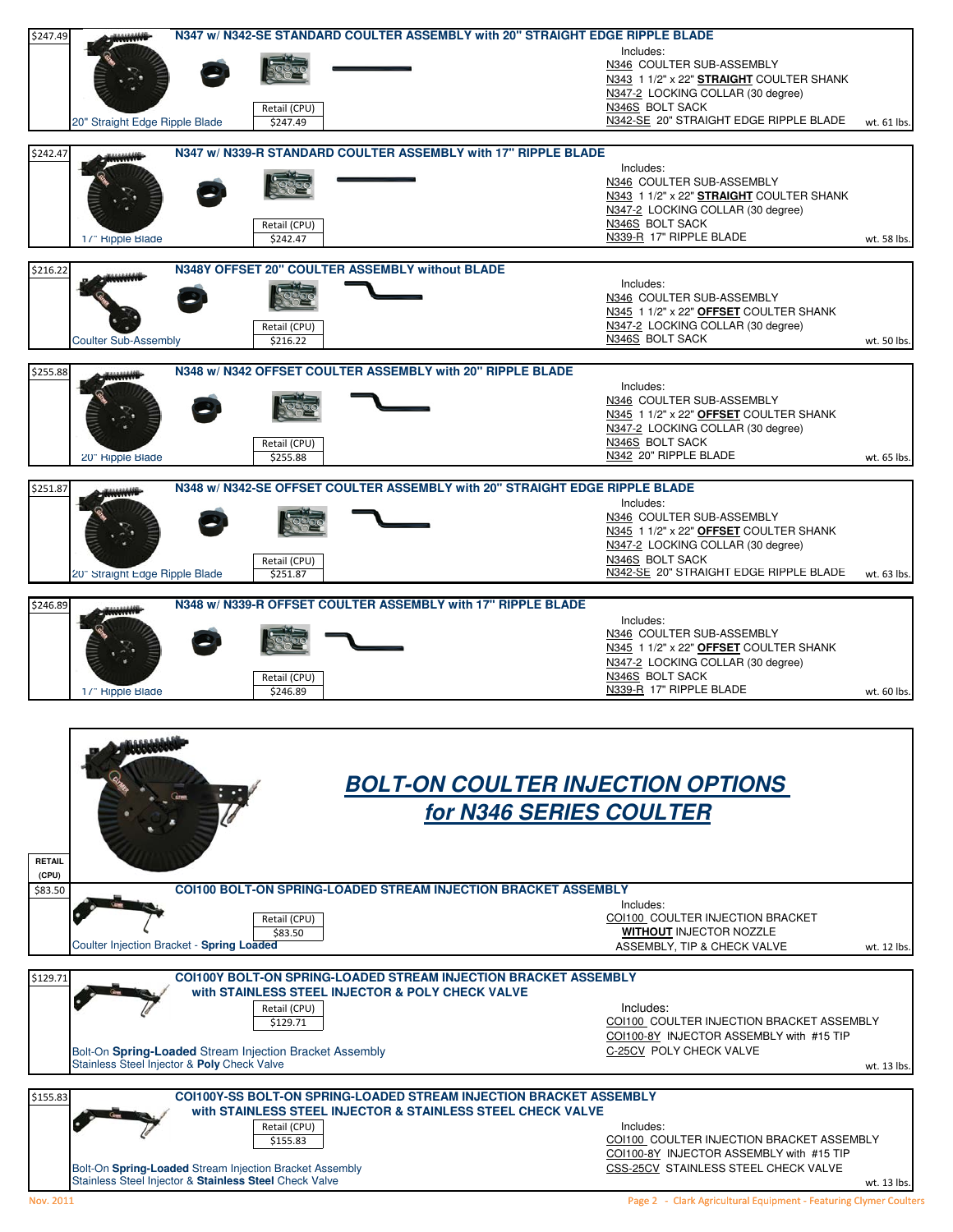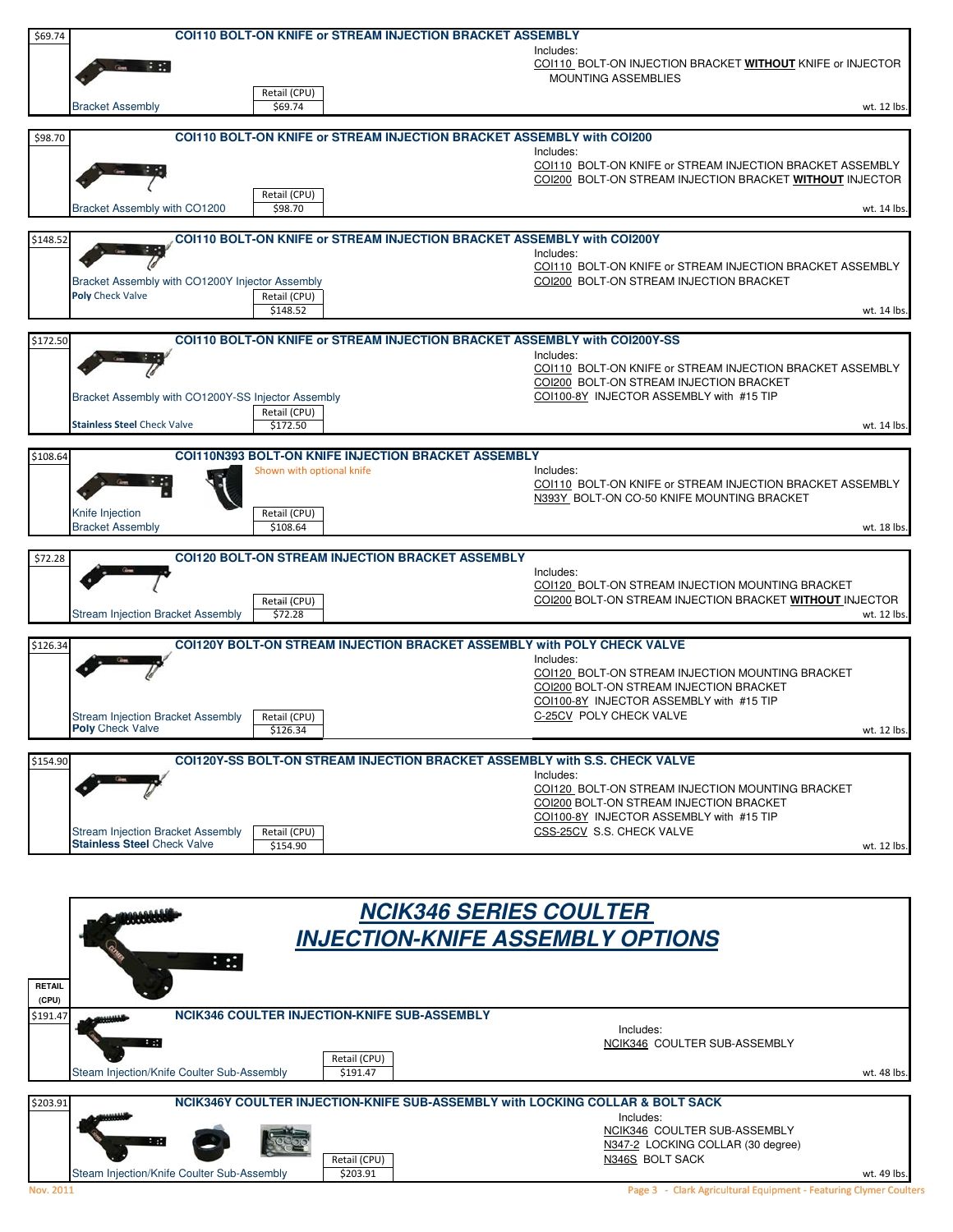| \$69.74  |                                                                                |                                                                                               |                                                                                                                                                                                                |
|----------|--------------------------------------------------------------------------------|-----------------------------------------------------------------------------------------------|------------------------------------------------------------------------------------------------------------------------------------------------------------------------------------------------|
|          |                                                                                | <b>COI110 BOLT-ON KNIFE or STREAM INJECTION BRACKET ASSEMBLY</b>                              |                                                                                                                                                                                                |
|          |                                                                                |                                                                                               | Includes:<br>COI110 BOLT-ON INJECTION BRACKET WITHOUT KNIFE or INJECTOR<br><b>MOUNTING ASSEMBLIES</b>                                                                                          |
|          | <b>Bracket Assembly</b>                                                        | Retail (CPU)<br>\$69.74                                                                       | wt. 12 lbs.                                                                                                                                                                                    |
|          |                                                                                |                                                                                               |                                                                                                                                                                                                |
| \$98.70  |                                                                                | <b>COI110 BOLT-ON KNIFE or STREAM INJECTION BRACKET ASSEMBLY with COI200</b>                  |                                                                                                                                                                                                |
|          |                                                                                |                                                                                               | Includes:<br>COI110 BOLT-ON KNIFE or STREAM INJECTION BRACKET ASSEMBLY<br>COI200 BOLT-ON STREAM INJECTION BRACKET WITHOUT INJECTOR                                                             |
|          | Bracket Assembly with CO1200                                                   | Retail (CPU)<br>\$98.70                                                                       | wt. 14 lbs.                                                                                                                                                                                    |
|          |                                                                                |                                                                                               |                                                                                                                                                                                                |
| \$148.52 | Bracket Assembly with CO1200Y Injector Assembly<br><b>Poly Check Valve</b>     | <b>COI110 BOLT-ON KNIFE or STREAM INJECTION BRACKET ASSEMBLY with COI200Y</b><br>Retail (CPU) | Includes:<br>COI110 BOLT-ON KNIFE or STREAM INJECTION BRACKET ASSEMBLY<br>COI200 BOLT-ON STREAM INJECTION BRACKET                                                                              |
|          |                                                                                | \$148.52                                                                                      | wt. 14 lbs.                                                                                                                                                                                    |
|          |                                                                                |                                                                                               |                                                                                                                                                                                                |
| \$172.50 | Bracket Assembly with CO1200Y-SS Injector Assembly                             | COI110 BOLT-ON KNIFE or STREAM INJECTION BRACKET ASSEMBLY with COI200Y-SS                     | Includes:<br>COI110 BOLT-ON KNIFE or STREAM INJECTION BRACKET ASSEMBLY<br>COI200 BOLT-ON STREAM INJECTION BRACKET<br>COI100-8Y INJECTOR ASSEMBLY with #15 TIP                                  |
|          |                                                                                | Retail (CPU)                                                                                  |                                                                                                                                                                                                |
|          | <b>Stainless Steel Check Valve</b>                                             | \$172.50                                                                                      | wt. 14 lbs.                                                                                                                                                                                    |
| \$108.64 |                                                                                | <b>COI110N393 BOLT-ON KNIFE INJECTION BRACKET ASSEMBLY</b>                                    |                                                                                                                                                                                                |
|          |                                                                                | Shown with optional knife                                                                     | Includes:                                                                                                                                                                                      |
|          |                                                                                |                                                                                               | COI110 BOLT-ON KNIFE or STREAM INJECTION BRACKET ASSEMBLY                                                                                                                                      |
|          | Knife Injection                                                                | Retail (CPU)                                                                                  | N393Y BOLT-ON CO-50 KNIFE MOUNTING BRACKET                                                                                                                                                     |
|          | <b>Bracket Assembly</b>                                                        | \$108.64                                                                                      |                                                                                                                                                                                                |
| \$72.28  |                                                                                | <b>COI120 BOLT-ON STREAM INJECTION BRACKET ASSEMBLY</b>                                       | wt. 18 lbs.                                                                                                                                                                                    |
|          | Stream Injection Bracket Assembly                                              | Retail (CPU)<br>\$72.28                                                                       | Includes:<br>COI120 BOLT-ON STREAM INJECTION MOUNTING BRACKET<br>COI200 BOLT-ON STREAM INJECTION BRACKET WITHOUT INJECTOR<br>wt. 12 lbs.                                                       |
|          |                                                                                | <b>COI120Y BOLT-ON STREAM INJECTION BRACKET ASSEMBLY with POLY CHECK VALVE</b>                |                                                                                                                                                                                                |
| \$126.34 | Stream Injection Bracket Assembly Retail (CPU)<br><b>Poly Check Valve</b>      |                                                                                               | Includes:<br>COI120 BOLT-ON STREAM INJECTION MOUNTING BRACKET<br>COI200 BOLT-ON STREAM INJECTION BRACKET<br>COI100-8Y INJECTOR ASSEMBLY with #15 TIP<br>C-25CV POLY CHECK VALVE<br>wt. 12 lbs. |
|          |                                                                                | \$126.34                                                                                      |                                                                                                                                                                                                |
| \$154.90 |                                                                                | COI120Y-SS BOLT-ON STREAM INJECTION BRACKET ASSEMBLY with S.S. CHECK VALVE                    | Includes:<br>COI120 BOLT-ON STREAM INJECTION MOUNTING BRACKET<br>COI200 BOLT-ON STREAM INJECTION BRACKET<br>COI100-8Y INJECTOR ASSEMBLY with #15 TIP                                           |
|          | <b>Stream Injection Bracket Assembly</b><br><b>Stainless Steel Check Valve</b> | Retail (CPU)<br>\$154.90                                                                      | CSS-25CV S.S. CHECK VALVE<br>wt. 12 lbs.                                                                                                                                                       |

|               |                                                                               | <b>NCIK346 SERIES COULTER</b><br><b>INJECTION-KNIFE ASSEMBLY OPTIONS</b> |                                           |             |  |  |  |
|---------------|-------------------------------------------------------------------------------|--------------------------------------------------------------------------|-------------------------------------------|-------------|--|--|--|
|               |                                                                               |                                                                          |                                           |             |  |  |  |
|               | 程制                                                                            |                                                                          |                                           |             |  |  |  |
| <b>RETAIL</b> |                                                                               |                                                                          |                                           |             |  |  |  |
| (CPU)         |                                                                               |                                                                          |                                           |             |  |  |  |
| \$191.47      |                                                                               | <b>NCIK346 COULTER INJECTION-KNIFE SUB-ASSEMBLY</b>                      |                                           |             |  |  |  |
|               | <b>Band</b>                                                                   |                                                                          | Includes:<br>NCIK346 COULTER SUB-ASSEMBLY |             |  |  |  |
|               |                                                                               | Retail (CPU)                                                             |                                           |             |  |  |  |
|               | Steam Injection/Knife Coulter Sub-Assembly                                    | \$191.47                                                                 |                                           | wt. 48 lbs. |  |  |  |
|               |                                                                               |                                                                          |                                           |             |  |  |  |
| \$203.91      | NCIK346Y COULTER INJECTION-KNIFE SUB-ASSEMBLY with LOCKING COLLAR & BOLT SACK |                                                                          |                                           |             |  |  |  |
|               |                                                                               |                                                                          | Includes:                                 |             |  |  |  |
|               |                                                                               |                                                                          | NCIK346 COULTER SUB-ASSEMBLY              |             |  |  |  |
|               |                                                                               |                                                                          | N347-2 LOCKING COLLAR (30 degree)         |             |  |  |  |
|               |                                                                               | Retail (CPU)                                                             | N346S BOLT SACK                           |             |  |  |  |
|               | Steam Injection/Knife Coulter Sub-Assembly                                    | \$203.91                                                                 |                                           | wt. 49 lbs. |  |  |  |

Nov. 2011 **Page 3 - Clark Agricultural Equipment - Featuring Clymer Coulters**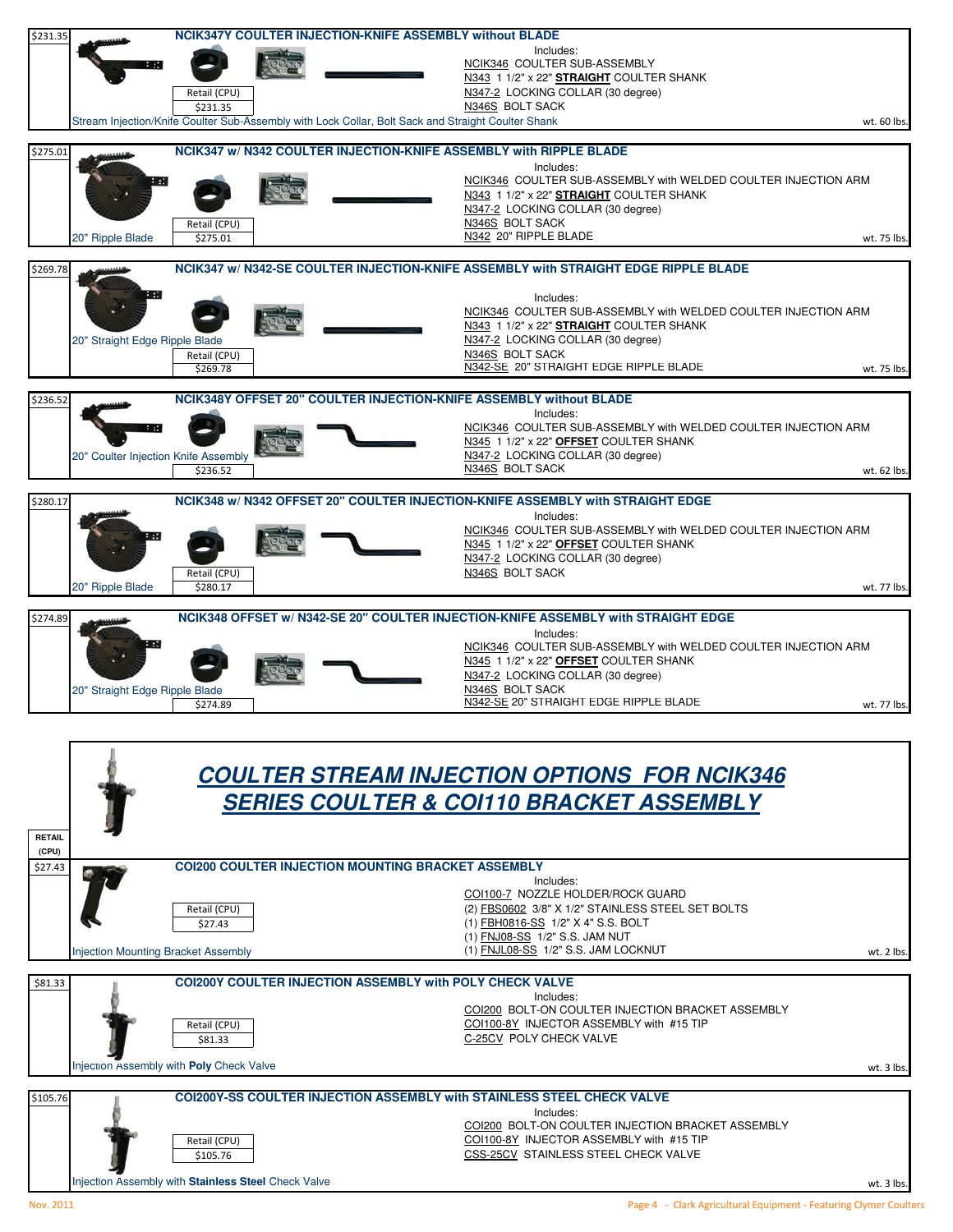

COI200 BOLT-ON COULTER INJECTION BRACKET ASSEMBLY Retail (CPU)<br>
S105.76 COLLOO-8Y INJECTOR ASSEMBLY with #15 TIP<br>
CSS-25CV STAINLESS STEEL CHECK VALVE CSS-25CV STAINLESS STEEL CHECK VALVE

njection Assembly with **Stainless Steel** Check Valve **we are also assets a state of the contract of the contract of the contract of the contract of the contract of the contract of the contract of the contract of the contra**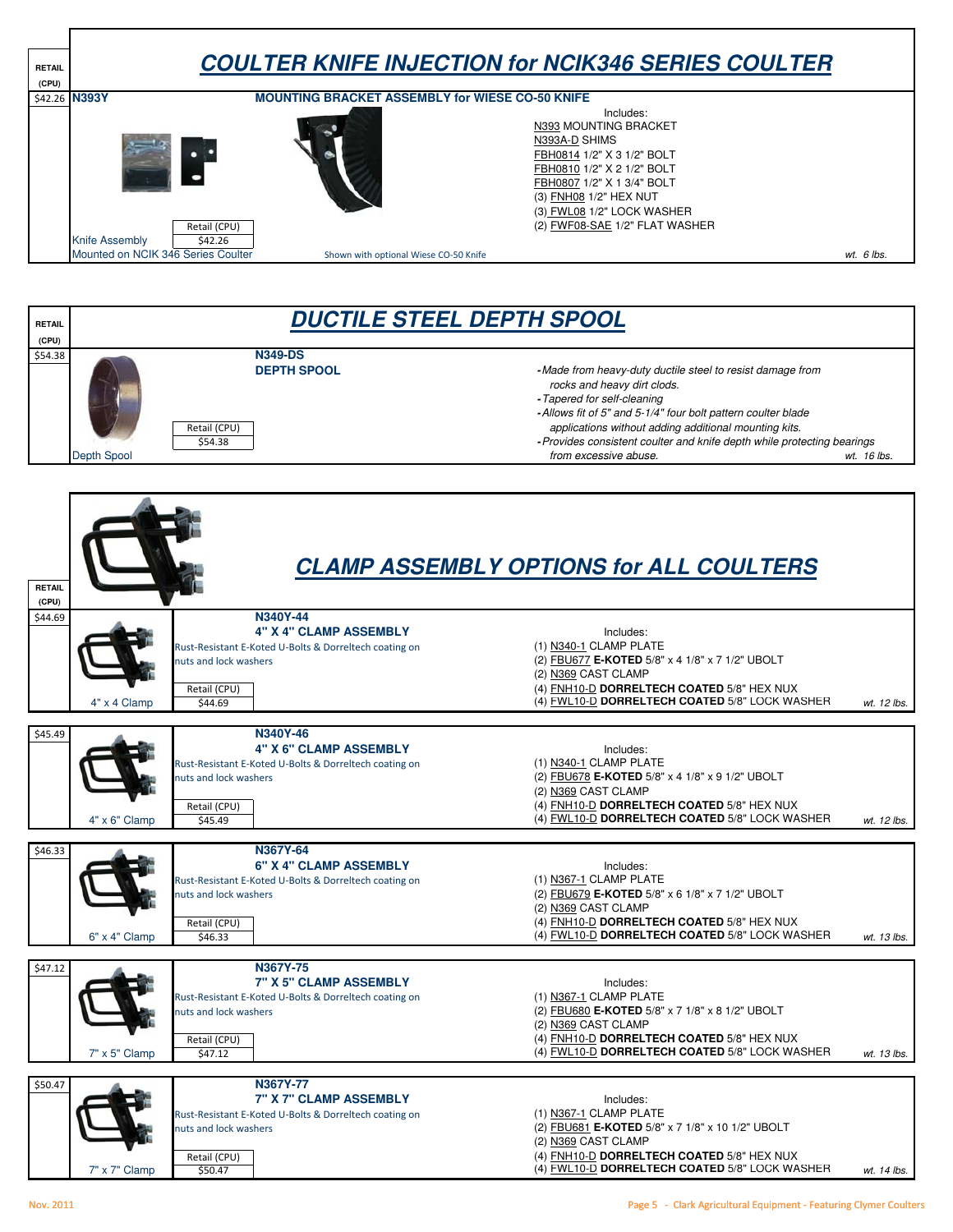**RETAIL (CPU)** \$42.26 Includes: N393 MOUNTING BRACKET N393A-D SHIMS FBH0814 1/2" X 3 1/2" BOLT FBH0810 1/2" X 2 1/2" BOLT **COULTER KNIFE INJECTION for NCIK346 SERIES COULTER N393Y MOUNTING BRACKET ASSEMBLY for WIESE CO-50 KNIFE**  FBH0807 1/2" X 1 3/4" BOLT (3) FNH08 1/2" HEX NUT (3) FWL08 1/2" LOCK WASHER Retail (CPU) (2) FWF08-SAE 1/2" FLAT WASHER Knife Assembly | \$42.26 Mounted on NCIK 346 Series Coulter **wt. 6 lbs.** Shown with optional Wiese CO-50 Knife **was a struck of the ware and the ware of the ware of the ware of the ware ware ware ware ware ware ware was ware ware ware was a shown** Shown with optional Wiese CO-50 Knife

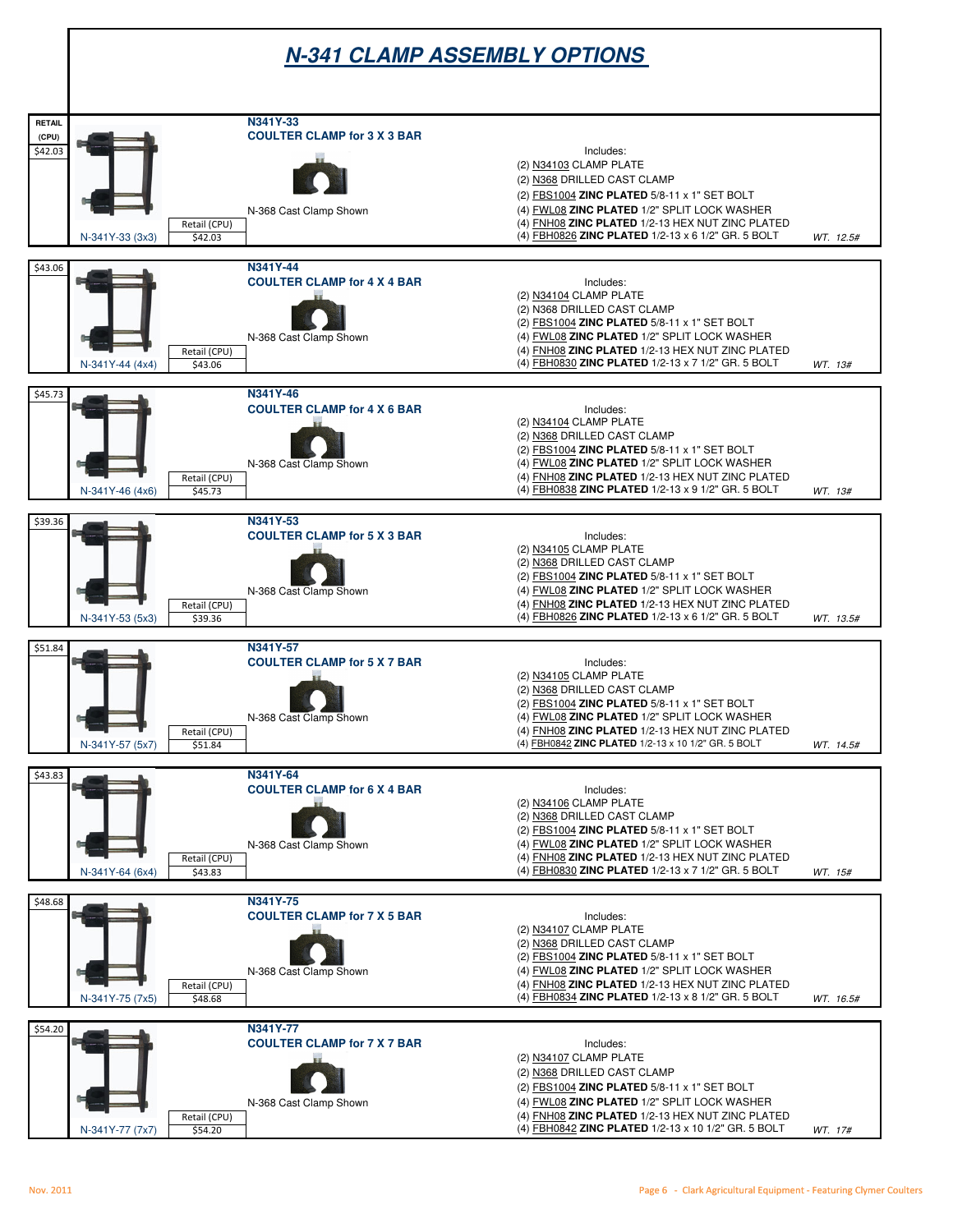## **N-341 CLAMP ASSEMBLY OPTIONS**

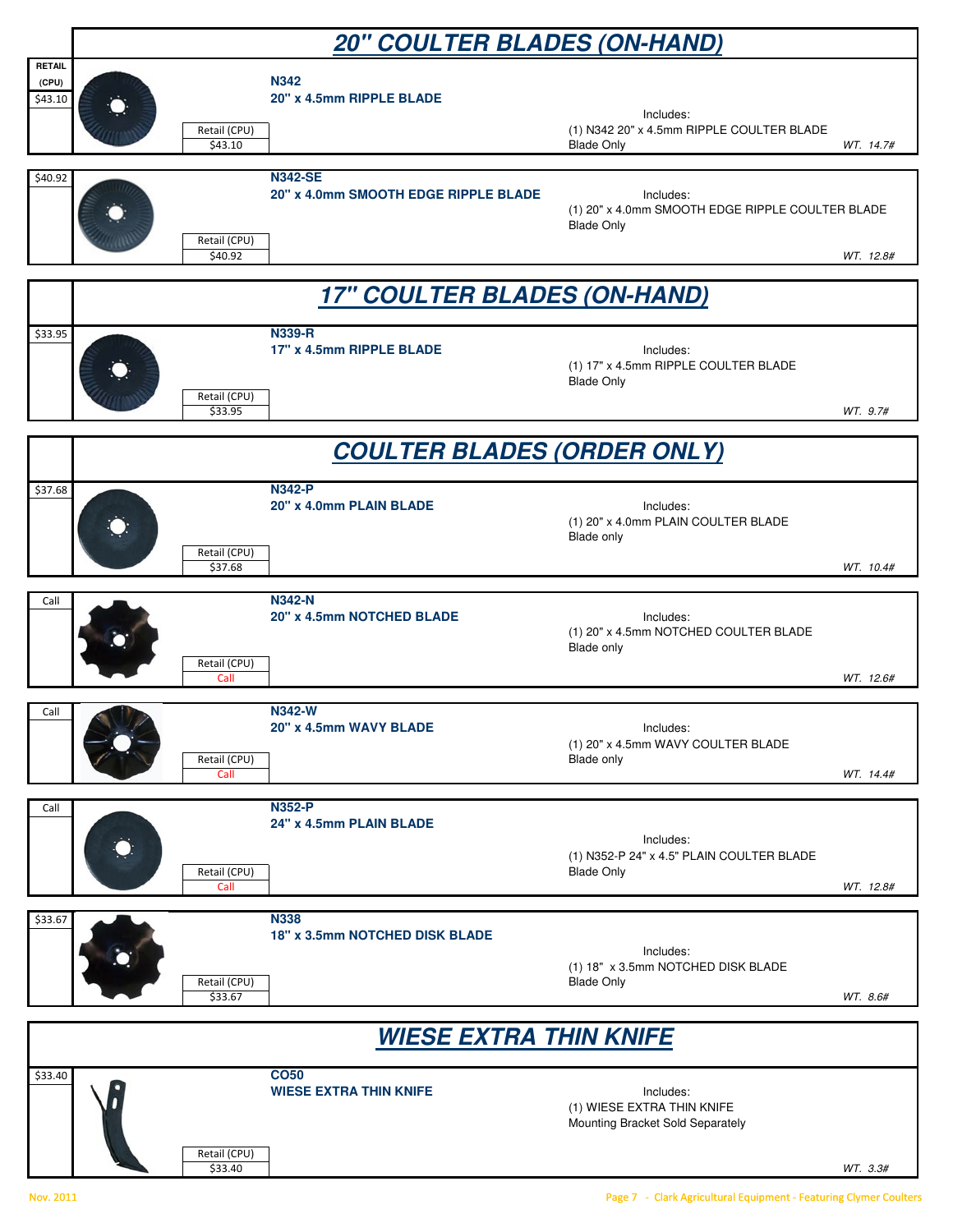|                                   | <b>20" COULTER BLADES (ON-HAND)</b> |                         |                                                        |                                                                                    |           |  |  |  |  |
|-----------------------------------|-------------------------------------|-------------------------|--------------------------------------------------------|------------------------------------------------------------------------------------|-----------|--|--|--|--|
| <b>RETAIL</b><br>(CPU)<br>\$43.10 |                                     | Retail (CPU)<br>\$43.10 | <b>N342</b><br>20" x 4.5mm RIPPLE BLADE                | Includes:<br>(1) N342 20" x 4.5mm RIPPLE COULTER BLADE<br><b>Blade Only</b>        | WT. 14.7# |  |  |  |  |
| \$40.92                           |                                     | Retail (CPU)<br>\$40.92 | <b>N342-SE</b><br>20" x 4.0mm SMOOTH EDGE RIPPLE BLADE | Includes:<br>(1) 20" x 4.0mm SMOOTH EDGE RIPPLE COULTER BLADE<br><b>Blade Only</b> | WT. 12.8# |  |  |  |  |
|                                   | <b>17" COULTER BLADES (ON-HAND)</b> |                         |                                                        |                                                                                    |           |  |  |  |  |
| \$33.95                           |                                     | Retail (CPU)<br>\$33.95 | <b>N339-R</b><br>17" x 4.5mm RIPPLE BLADE              | Includes:<br>(1) 17" x 4.5mm RIPPLE COULTER BLADE<br><b>Blade Only</b>             | WT. 9.7#  |  |  |  |  |
|                                   | <u>COULTER BLADES (ORDER ONLY)</u>  |                         |                                                        |                                                                                    |           |  |  |  |  |
| \$37.68                           |                                     | Retail (CPU)<br>\$37.68 | <b>N342-P</b><br>20" x 4.0mm PLAIN BLADE               | Includes:<br>(1) 20" x 4.0mm PLAIN COULTER BLADE<br>Blade only                     | WT. 10.4# |  |  |  |  |
| Call                              |                                     | Retail (CPU)<br>Call    | <b>N342-N</b><br>20" x 4.5mm NOTCHED BLADE             | Includes:<br>(1) 20" x 4.5mm NOTCHED COULTER BLADE<br>Blade only                   | WT. 12.6# |  |  |  |  |
| Call                              |                                     | Retail (CPU)<br>Call    | <b>N342-W</b><br>20" x 4.5mm WAVY BLADE                | Includes:<br>(1) 20" x 4.5mm WAVY COULTER BLADE<br>Blade only                      | WT. 14.4# |  |  |  |  |
| Call                              |                                     | Retail (CPU)<br>Call    | <b>N352-P</b><br>24" x 4.5mm PLAIN BLADE               | Includes:<br>(1) N352-P 24" x 4.5" PLAIN COULTER BLADE<br><b>Blade Only</b>        | WT. 12.8# |  |  |  |  |
| \$33.67                           |                                     | Retail (CPU)<br>\$33.67 | <b>N338</b><br>18" x 3.5mm NOTCHED DISK BLADE          | Includes:<br>(1) 18" x 3.5mm NOTCHED DISK BLADE<br><b>Blade Only</b>               | WT. 8.6#  |  |  |  |  |
|                                   | <b>WIESE EXTRA THIN KNIFE</b>       |                         |                                                        |                                                                                    |           |  |  |  |  |
| \$33.40                           |                                     | Retail (CPU)<br>\$33.40 | <b>CO50</b><br><b>WIESE EXTRA THIN KNIFE</b>           | Includes:<br>(1) WIESE EXTRA THIN KNIFE<br>Mounting Bracket Sold Separately        | WT. 3.3#  |  |  |  |  |

Nov. 2011 Page 7 - Clark Agricultural Equipment - Featuring Clymer Coulters